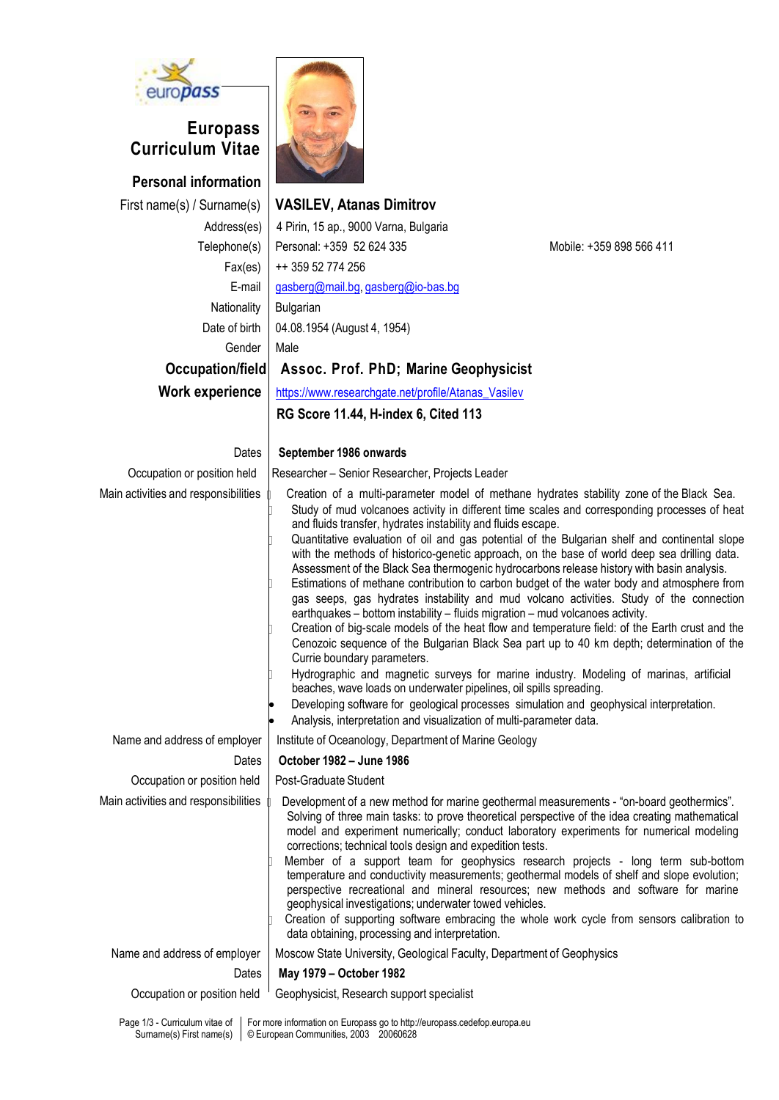

## **Europass Curriculum Vitae**

**Personal information** Address(es)  $Fax(es)$ E-mail Nationality Date of birth Gender



## First name(s) / Surname(s) **VASILEV, Atanas Dimitrov**

| Address(es)             | 4 Pirin, 15 ap., 9000 Varna, Bulgaria               |                          |
|-------------------------|-----------------------------------------------------|--------------------------|
| Telephone(s)            | Personal: +359 52 624 335                           | Mobile: +359 898 566 411 |
| Fax(es)                 | ++ 359 52 774 256                                   |                          |
| E-mail                  | gasberg@mail.bg, gasberg@io-bas.bg                  |                          |
| Nationality             | Bulgarian                                           |                          |
| Date of birth           | 04.08.1954 (August 4, 1954)                         |                          |
| Gender                  | Male                                                |                          |
| Occupation/field        | Assoc. Prof. PhD; Marine Geophysicist               |                          |
| Work experience         | https://www.researchgate.net/profile/Atanas_Vasilev |                          |
|                         | RG Score 11.44, H-index 6, Cited 113                |                          |
| Dates                   | September 1986 onwards                              |                          |
| pation or position held | Researcher - Senior Researcher, Projects Leader     |                          |
|                         |                                                     |                          |

| Dates                                | September 1986 onwards                                                                                                                                                                                                                                                                                                                                                                                                                                                                                                                                                                                                                                                                                                                                                                                                                                                                                                                                                                                                                                                                                                                                                                                                                                                                                                                                                                            |
|--------------------------------------|---------------------------------------------------------------------------------------------------------------------------------------------------------------------------------------------------------------------------------------------------------------------------------------------------------------------------------------------------------------------------------------------------------------------------------------------------------------------------------------------------------------------------------------------------------------------------------------------------------------------------------------------------------------------------------------------------------------------------------------------------------------------------------------------------------------------------------------------------------------------------------------------------------------------------------------------------------------------------------------------------------------------------------------------------------------------------------------------------------------------------------------------------------------------------------------------------------------------------------------------------------------------------------------------------------------------------------------------------------------------------------------------------|
| Occupation or position held          | Researcher - Senior Researcher, Projects Leader                                                                                                                                                                                                                                                                                                                                                                                                                                                                                                                                                                                                                                                                                                                                                                                                                                                                                                                                                                                                                                                                                                                                                                                                                                                                                                                                                   |
| Main activities and responsibilities | Creation of a multi-parameter model of methane hydrates stability zone of the Black Sea.<br>Study of mud volcanoes activity in different time scales and corresponding processes of heat<br>and fluids transfer, hydrates instability and fluids escape.<br>Quantitative evaluation of oil and gas potential of the Bulgarian shelf and continental slope<br>with the methods of historico-genetic approach, on the base of world deep sea drilling data.<br>Assessment of the Black Sea thermogenic hydrocarbons release history with basin analysis.<br>Estimations of methane contribution to carbon budget of the water body and atmosphere from<br>gas seeps, gas hydrates instability and mud volcano activities. Study of the connection<br>earthquakes - bottom instability - fluids migration - mud volcanoes activity.<br>Creation of big-scale models of the heat flow and temperature field: of the Earth crust and the<br>Cenozoic sequence of the Bulgarian Black Sea part up to 40 km depth; determination of the<br>Currie boundary parameters.<br>Hydrographic and magnetic surveys for marine industry. Modeling of marinas, artificial<br>beaches, wave loads on underwater pipelines, oil spills spreading.<br>Developing software for geological processes simulation and geophysical interpretation.<br>Analysis, interpretation and visualization of multi-parameter data. |
| Name and address of employer         | Institute of Oceanology, Department of Marine Geology                                                                                                                                                                                                                                                                                                                                                                                                                                                                                                                                                                                                                                                                                                                                                                                                                                                                                                                                                                                                                                                                                                                                                                                                                                                                                                                                             |
| Dates                                | October 1982 - June 1986                                                                                                                                                                                                                                                                                                                                                                                                                                                                                                                                                                                                                                                                                                                                                                                                                                                                                                                                                                                                                                                                                                                                                                                                                                                                                                                                                                          |
| Occupation or position held          | Post-Graduate Student                                                                                                                                                                                                                                                                                                                                                                                                                                                                                                                                                                                                                                                                                                                                                                                                                                                                                                                                                                                                                                                                                                                                                                                                                                                                                                                                                                             |
| Main activities and responsibilities | Development of a new method for marine geothermal measurements - "on-board geothermics".<br>Solving of three main tasks: to prove theoretical perspective of the idea creating mathematical<br>model and experiment numerically; conduct laboratory experiments for numerical modeling<br>corrections; technical tools design and expedition tests.<br>Member of a support team for geophysics research projects - long term sub-bottom<br>temperature and conductivity measurements; geothermal models of shelf and slope evolution;<br>perspective recreational and mineral resources; new methods and software for marine<br>geophysical investigations; underwater towed vehicles.<br>Creation of supporting software embracing the whole work cycle from sensors calibration to<br>data obtaining, processing and interpretation.                                                                                                                                                                                                                                                                                                                                                                                                                                                                                                                                                            |
| Name and address of employer         | Moscow State University, Geological Faculty, Department of Geophysics                                                                                                                                                                                                                                                                                                                                                                                                                                                                                                                                                                                                                                                                                                                                                                                                                                                                                                                                                                                                                                                                                                                                                                                                                                                                                                                             |
| Dates                                | May 1979 - October 1982                                                                                                                                                                                                                                                                                                                                                                                                                                                                                                                                                                                                                                                                                                                                                                                                                                                                                                                                                                                                                                                                                                                                                                                                                                                                                                                                                                           |
| Occupation or position held          | Geophysicist, Research support specialist                                                                                                                                                                                                                                                                                                                                                                                                                                                                                                                                                                                                                                                                                                                                                                                                                                                                                                                                                                                                                                                                                                                                                                                                                                                                                                                                                         |

Page 1/3 - Curriculum vitae of  $\; \mid \;$  For more information on Europass go to http://europass.cedefop.europa.eu Surname(s) First name(s) © European Communities, 2003 20060628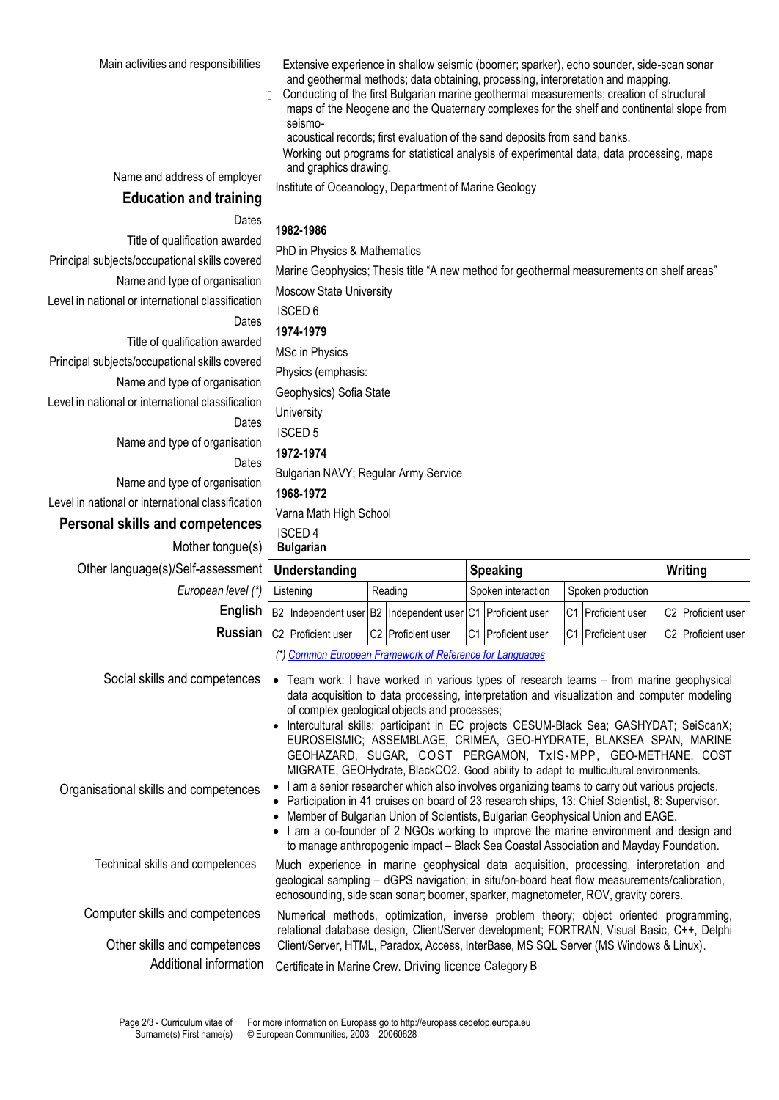| Main activities and responsibilities                   |           | Extensive experience in shallow seismic (boomer; sparker), echo sounder, side-scan sonar<br>and geothermal methods; data obtaining, processing, interpretation and mapping.<br>Conducting of the first Bulgarian marine geothermal measurements; creation of structural<br>maps of the Neogene and the Quaternary complexes for the shelf and continental slope from<br>seismo-<br>acoustical records; first evaluation of the sand deposits from sand banks.<br>Working out programs for statistical analysis of experimental data, data processing, maps |         |                                                          |  |                                                                                                                                                                                                                                                                                                                                                                                                                                                                                                              |  |                    |  |                                |  |
|--------------------------------------------------------|-----------|------------------------------------------------------------------------------------------------------------------------------------------------------------------------------------------------------------------------------------------------------------------------------------------------------------------------------------------------------------------------------------------------------------------------------------------------------------------------------------------------------------------------------------------------------------|---------|----------------------------------------------------------|--|--------------------------------------------------------------------------------------------------------------------------------------------------------------------------------------------------------------------------------------------------------------------------------------------------------------------------------------------------------------------------------------------------------------------------------------------------------------------------------------------------------------|--|--------------------|--|--------------------------------|--|
| Name and address of employer                           |           | and graphics drawing.                                                                                                                                                                                                                                                                                                                                                                                                                                                                                                                                      |         |                                                          |  |                                                                                                                                                                                                                                                                                                                                                                                                                                                                                                              |  |                    |  |                                |  |
| <b>Education and training</b>                          |           | Institute of Oceanology, Department of Marine Geology                                                                                                                                                                                                                                                                                                                                                                                                                                                                                                      |         |                                                          |  |                                                                                                                                                                                                                                                                                                                                                                                                                                                                                                              |  |                    |  |                                |  |
| Dates                                                  |           |                                                                                                                                                                                                                                                                                                                                                                                                                                                                                                                                                            |         |                                                          |  |                                                                                                                                                                                                                                                                                                                                                                                                                                                                                                              |  |                    |  |                                |  |
| Title of qualification awarded                         |           | 1982-1986                                                                                                                                                                                                                                                                                                                                                                                                                                                                                                                                                  |         |                                                          |  |                                                                                                                                                                                                                                                                                                                                                                                                                                                                                                              |  |                    |  |                                |  |
| Principal subjects/occupational skills covered         |           | PhD in Physics & Mathematics                                                                                                                                                                                                                                                                                                                                                                                                                                                                                                                               |         |                                                          |  |                                                                                                                                                                                                                                                                                                                                                                                                                                                                                                              |  |                    |  |                                |  |
| Name and type of organisation                          |           |                                                                                                                                                                                                                                                                                                                                                                                                                                                                                                                                                            |         |                                                          |  | Marine Geophysics; Thesis title "A new method for geothermal measurements on shelf areas"                                                                                                                                                                                                                                                                                                                                                                                                                    |  |                    |  |                                |  |
| Level in national or international classification      |           | Moscow State University<br><b>ISCED 6</b>                                                                                                                                                                                                                                                                                                                                                                                                                                                                                                                  |         |                                                          |  |                                                                                                                                                                                                                                                                                                                                                                                                                                                                                                              |  |                    |  |                                |  |
| Dates                                                  |           | 1974-1979                                                                                                                                                                                                                                                                                                                                                                                                                                                                                                                                                  |         |                                                          |  |                                                                                                                                                                                                                                                                                                                                                                                                                                                                                                              |  |                    |  |                                |  |
| Title of qualification awarded                         |           | MSc in Physics                                                                                                                                                                                                                                                                                                                                                                                                                                                                                                                                             |         |                                                          |  |                                                                                                                                                                                                                                                                                                                                                                                                                                                                                                              |  |                    |  |                                |  |
| Principal subjects/occupational skills covered         |           | Physics (emphasis:                                                                                                                                                                                                                                                                                                                                                                                                                                                                                                                                         |         |                                                          |  |                                                                                                                                                                                                                                                                                                                                                                                                                                                                                                              |  |                    |  |                                |  |
| Name and type of organisation                          |           | Geophysics) Sofia State                                                                                                                                                                                                                                                                                                                                                                                                                                                                                                                                    |         |                                                          |  |                                                                                                                                                                                                                                                                                                                                                                                                                                                                                                              |  |                    |  |                                |  |
| Level in national or international classification      |           | University                                                                                                                                                                                                                                                                                                                                                                                                                                                                                                                                                 |         |                                                          |  |                                                                                                                                                                                                                                                                                                                                                                                                                                                                                                              |  |                    |  |                                |  |
| Dates                                                  |           | <b>ISCED 5</b>                                                                                                                                                                                                                                                                                                                                                                                                                                                                                                                                             |         |                                                          |  |                                                                                                                                                                                                                                                                                                                                                                                                                                                                                                              |  |                    |  |                                |  |
| Name and type of organisation                          |           | 1972-1974                                                                                                                                                                                                                                                                                                                                                                                                                                                                                                                                                  |         |                                                          |  |                                                                                                                                                                                                                                                                                                                                                                                                                                                                                                              |  |                    |  |                                |  |
| Dates                                                  |           | Bulgarian NAVY; Regular Army Service                                                                                                                                                                                                                                                                                                                                                                                                                                                                                                                       |         |                                                          |  |                                                                                                                                                                                                                                                                                                                                                                                                                                                                                                              |  |                    |  |                                |  |
| Name and type of organisation                          |           | 1968-1972                                                                                                                                                                                                                                                                                                                                                                                                                                                                                                                                                  |         |                                                          |  |                                                                                                                                                                                                                                                                                                                                                                                                                                                                                                              |  |                    |  |                                |  |
| Level in national or international classification      |           |                                                                                                                                                                                                                                                                                                                                                                                                                                                                                                                                                            |         |                                                          |  |                                                                                                                                                                                                                                                                                                                                                                                                                                                                                                              |  |                    |  |                                |  |
| <b>Personal skills and competences</b>                 |           | Varna Math High School<br><b>ISCED4</b>                                                                                                                                                                                                                                                                                                                                                                                                                                                                                                                    |         |                                                          |  |                                                                                                                                                                                                                                                                                                                                                                                                                                                                                                              |  |                    |  |                                |  |
|                                                        |           |                                                                                                                                                                                                                                                                                                                                                                                                                                                                                                                                                            |         |                                                          |  |                                                                                                                                                                                                                                                                                                                                                                                                                                                                                                              |  |                    |  |                                |  |
| Mother tongue(s)                                       |           | <b>Bulgarian</b>                                                                                                                                                                                                                                                                                                                                                                                                                                                                                                                                           |         |                                                          |  |                                                                                                                                                                                                                                                                                                                                                                                                                                                                                                              |  |                    |  |                                |  |
| Other language(s)/Self-assessment                      |           | <b>Understanding</b>                                                                                                                                                                                                                                                                                                                                                                                                                                                                                                                                       |         |                                                          |  | <b>Speaking</b>                                                                                                                                                                                                                                                                                                                                                                                                                                                                                              |  |                    |  | Writing                        |  |
| European level (*)                                     |           | Listening                                                                                                                                                                                                                                                                                                                                                                                                                                                                                                                                                  | Reading |                                                          |  | Spoken interaction                                                                                                                                                                                                                                                                                                                                                                                                                                                                                           |  | Spoken production  |  |                                |  |
| English                                                |           | B2 Independent user B2 Independent user                                                                                                                                                                                                                                                                                                                                                                                                                                                                                                                    |         |                                                          |  | C1 Proficient user                                                                                                                                                                                                                                                                                                                                                                                                                                                                                           |  | C1 Proficient user |  | C <sub>2</sub> Proficient user |  |
|                                                        |           | Russian   C2   Proficient user                                                                                                                                                                                                                                                                                                                                                                                                                                                                                                                             |         | C2 Proficient user                                       |  | C1 Proficient user                                                                                                                                                                                                                                                                                                                                                                                                                                                                                           |  | C1 Proficient user |  | C2 Proficient user             |  |
|                                                        |           |                                                                                                                                                                                                                                                                                                                                                                                                                                                                                                                                                            |         | (*) Common European Framework of Reference for Languages |  |                                                                                                                                                                                                                                                                                                                                                                                                                                                                                                              |  |                    |  |                                |  |
| Social skills and competences                          |           |                                                                                                                                                                                                                                                                                                                                                                                                                                                                                                                                                            |         | of complex geological objects and processes;             |  | • Team work: I have worked in various types of research teams - from marine geophysical<br>data acquisition to data processing, interpretation and visualization and computer modeling<br>Intercultural skills: participant in EC projects CESUM-Black Sea; GASHYDAT; SeiScanX;<br>EUROSEISMIC; ASSEMBLAGE, CRIMEA, GEO-HYDRATE, BLAKSEA SPAN, MARINE<br>GEOHAZARD, SUGAR, COST PERGAMON, TxIS-MPP, GEO-METHANE, COST<br>MIGRATE, GEOHydrate, BlackCO2. Good ability to adapt to multicultural environments. |  |                    |  |                                |  |
| Organisational skills and competences                  | $\bullet$ |                                                                                                                                                                                                                                                                                                                                                                                                                                                                                                                                                            |         |                                                          |  | I am a senior researcher which also involves organizing teams to carry out various projects.<br>• Participation in 41 cruises on board of 23 research ships, 13: Chief Scientist, 8: Supervisor.<br>• Member of Bulgarian Union of Scientists, Bulgarian Geophysical Union and EAGE.<br>• I am a co-founder of 2 NGOs working to improve the marine environment and design and<br>to manage anthropogenic impact - Black Sea Coastal Association and Mayday Foundation.                                      |  |                    |  |                                |  |
| Technical skills and competences                       |           |                                                                                                                                                                                                                                                                                                                                                                                                                                                                                                                                                            |         |                                                          |  | Much experience in marine geophysical data acquisition, processing, interpretation and<br>geological sampling - dGPS navigation; in situ/on-board heat flow measurements/calibration,<br>echosounding, side scan sonar; boomer, sparker, magnetometer, ROV, gravity corers.                                                                                                                                                                                                                                  |  |                    |  |                                |  |
| Computer skills and competences                        |           |                                                                                                                                                                                                                                                                                                                                                                                                                                                                                                                                                            |         |                                                          |  | Numerical methods, optimization, inverse problem theory; object oriented programming,<br>relational database design, Client/Server development; FORTRAN, Visual Basic, C++, Delphi                                                                                                                                                                                                                                                                                                                           |  |                    |  |                                |  |
| Other skills and competences<br>Additional information |           |                                                                                                                                                                                                                                                                                                                                                                                                                                                                                                                                                            |         | Certificate in Marine Crew. Driving licence Category B   |  | Client/Server, HTML, Paradox, Access, InterBase, MS SQL Server (MS Windows & Linux).                                                                                                                                                                                                                                                                                                                                                                                                                         |  |                    |  |                                |  |